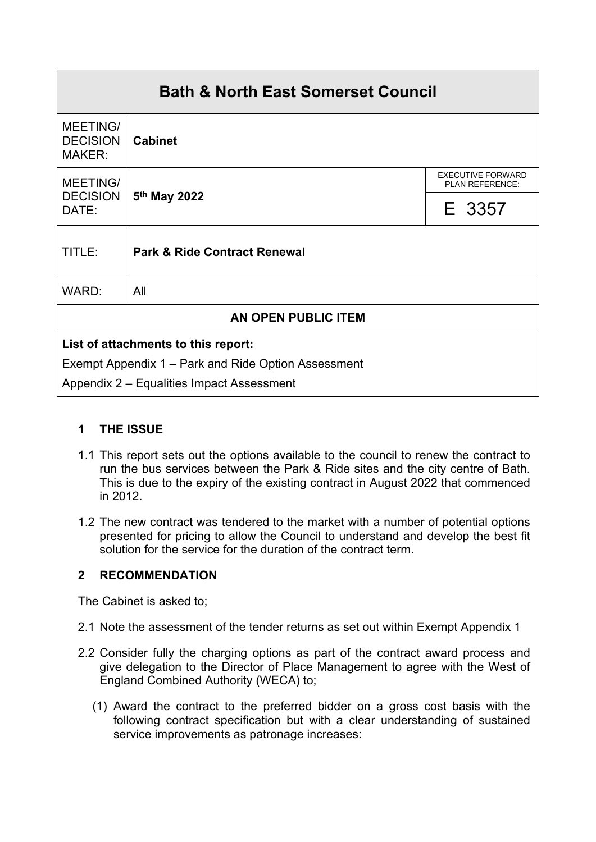| <b>Bath &amp; North East Somerset Council</b>       |                                         |                                             |
|-----------------------------------------------------|-----------------------------------------|---------------------------------------------|
| <b>MEETING/</b><br><b>DECISION</b><br><b>MAKER:</b> | <b>Cabinet</b>                          |                                             |
| <b>MEETING/</b><br><b>DECISION</b><br>DATE:         | 5 <sup>th</sup> May 2022                | <b>EXECUTIVE FORWARD</b><br>PLAN REFERENCE: |
|                                                     |                                         | E 3357                                      |
| TITLE:                                              | <b>Park &amp; Ride Contract Renewal</b> |                                             |
| WARD:                                               | All                                     |                                             |
| AN OPEN PUBLIC ITEM                                 |                                         |                                             |
| List of attachments to this report:                 |                                         |                                             |
| Exempt Appendix 1 – Park and Ride Option Assessment |                                         |                                             |
| Appendix 2 – Equalities Impact Assessment           |                                         |                                             |

## **1 THE ISSUE**

- 1.1 This report sets out the options available to the council to renew the contract to run the bus services between the Park & Ride sites and the city centre of Bath. This is due to the expiry of the existing contract in August 2022 that commenced in 2012.
- 1.2 The new contract was tendered to the market with a number of potential options presented for pricing to allow the Council to understand and develop the best fit solution for the service for the duration of the contract term.

# **2 RECOMMENDATION**

The Cabinet is asked to;

- 2.1 Note the assessment of the tender returns as set out within Exempt Appendix 1
- 2.2 Consider fully the charging options as part of the contract award process and give delegation to the Director of Place Management to agree with the West of England Combined Authority (WECA) to;
	- (1) Award the contract to the preferred bidder on a gross cost basis with the following contract specification but with a clear understanding of sustained service improvements as patronage increases: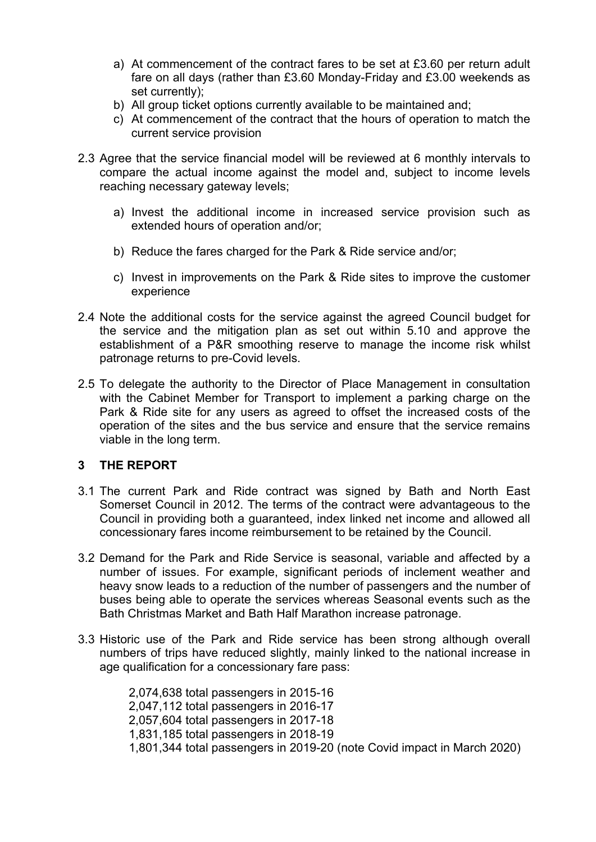- a) At commencement of the contract fares to be set at £3.60 per return adult fare on all days (rather than £3.60 Monday-Friday and £3.00 weekends as set currently);
- b) All group ticket options currently available to be maintained and;
- c) At commencement of the contract that the hours of operation to match the current service provision
- 2.3 Agree that the service financial model will be reviewed at 6 monthly intervals to compare the actual income against the model and, subject to income levels reaching necessary gateway levels;
	- a) Invest the additional income in increased service provision such as extended hours of operation and/or;
	- b) Reduce the fares charged for the Park & Ride service and/or;
	- c) Invest in improvements on the Park & Ride sites to improve the customer experience
- 2.4 Note the additional costs for the service against the agreed Council budget for the service and the mitigation plan as set out within 5.10 and approve the establishment of a P&R smoothing reserve to manage the income risk whilst patronage returns to pre-Covid levels.
- 2.5 To delegate the authority to the Director of Place Management in consultation with the Cabinet Member for Transport to implement a parking charge on the Park & Ride site for any users as agreed to offset the increased costs of the operation of the sites and the bus service and ensure that the service remains viable in the long term.

#### **3 THE REPORT**

- 3.1 The current Park and Ride contract was signed by Bath and North East Somerset Council in 2012. The terms of the contract were advantageous to the Council in providing both a guaranteed, index linked net income and allowed all concessionary fares income reimbursement to be retained by the Council.
- 3.2 Demand for the Park and Ride Service is seasonal, variable and affected by a number of issues. For example, significant periods of inclement weather and heavy snow leads to a reduction of the number of passengers and the number of buses being able to operate the services whereas Seasonal events such as the Bath Christmas Market and Bath Half Marathon increase patronage.
- 3.3 Historic use of the Park and Ride service has been strong although overall numbers of trips have reduced slightly, mainly linked to the national increase in age qualification for a concessionary fare pass:

2,074,638 total passengers in 2015-16 2,047,112 total passengers in 2016-17 2,057,604 total passengers in 2017-18 1,831,185 total passengers in 2018-19 1,801,344 total passengers in 2019-20 (note Covid impact in March 2020)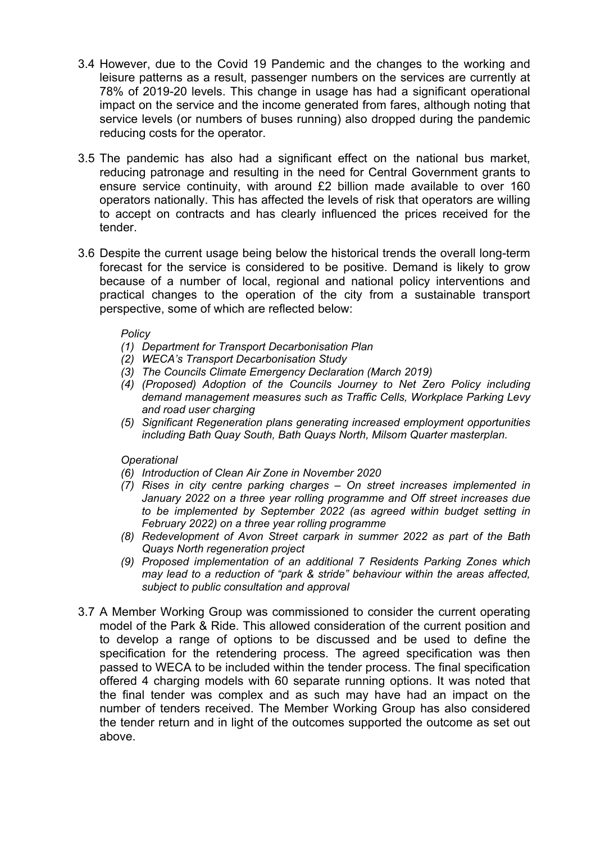- 3.4 However, due to the Covid 19 Pandemic and the changes to the working and leisure patterns as a result, passenger numbers on the services are currently at 78% of 2019-20 levels. This change in usage has had a significant operational impact on the service and the income generated from fares, although noting that service levels (or numbers of buses running) also dropped during the pandemic reducing costs for the operator.
- 3.5 The pandemic has also had a significant effect on the national bus market, reducing patronage and resulting in the need for Central Government grants to ensure service continuity, with around £2 billion made available to over 160 operators nationally. This has affected the levels of risk that operators are willing to accept on contracts and has clearly influenced the prices received for the tender.
- 3.6 Despite the current usage being below the historical trends the overall long-term forecast for the service is considered to be positive. Demand is likely to grow because of a number of local, regional and national policy interventions and practical changes to the operation of the city from a sustainable transport perspective, some of which are reflected below:

#### *Policy*

- *(1) Department for Transport Decarbonisation Plan*
- *(2) WECA's Transport Decarbonisation Study*
- *(3) The Councils Climate Emergency Declaration (March 2019)*
- *(4) (Proposed) Adoption of the Councils Journey to Net Zero Policy including demand management measures such as Traffic Cells, Workplace Parking Levy and road user charging*
- *(5) Significant Regeneration plans generating increased employment opportunities including Bath Quay South, Bath Quays North, Milsom Quarter masterplan.*

#### *Operational*

- *(6) Introduction of Clean Air Zone in November 2020*
- *(7) Rises in city centre parking charges – On street increases implemented in January 2022 on a three year rolling programme and Off street increases due to be implemented by September 2022 (as agreed within budget setting in February 2022) on a three year rolling programme*
- *(8) Redevelopment of Avon Street carpark in summer 2022 as part of the Bath Quays North regeneration project*
- *(9) Proposed implementation of an additional 7 Residents Parking Zones which may lead to a reduction of "park & stride" behaviour within the areas affected, subject to public consultation and approval*
- 3.7 A Member Working Group was commissioned to consider the current operating model of the Park & Ride. This allowed consideration of the current position and to develop a range of options to be discussed and be used to define the specification for the retendering process. The agreed specification was then passed to WECA to be included within the tender process. The final specification offered 4 charging models with 60 separate running options. It was noted that the final tender was complex and as such may have had an impact on the number of tenders received. The Member Working Group has also considered the tender return and in light of the outcomes supported the outcome as set out above.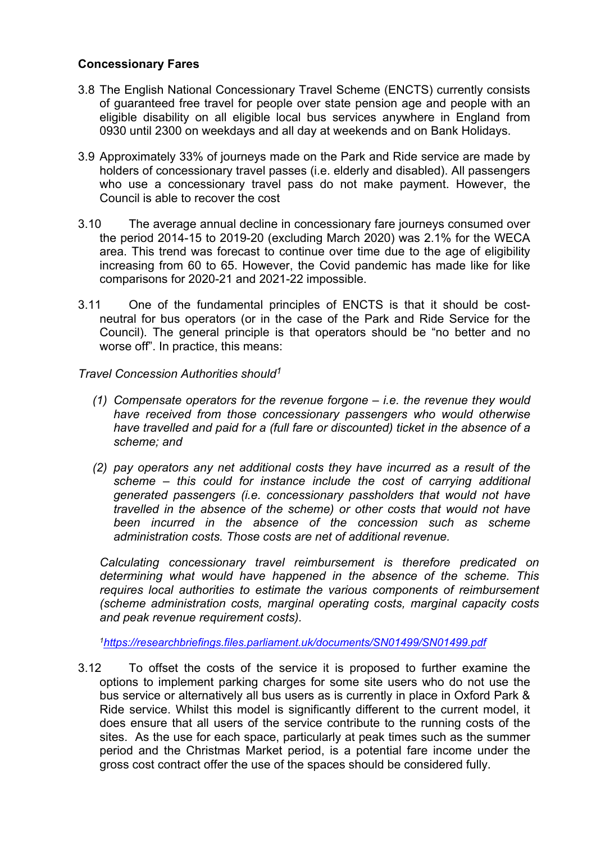### **Concessionary Fares**

- 3.8 The English National Concessionary Travel Scheme (ENCTS) currently consists of guaranteed free travel for people over state pension age and people with an eligible disability on all eligible local bus services anywhere in England from 0930 until 2300 on weekdays and all day at weekends and on Bank Holidays.
- 3.9 Approximately 33% of journeys made on the Park and Ride service are made by holders of concessionary travel passes (i.e. elderly and disabled). All passengers who use a concessionary travel pass do not make payment. However, the Council is able to recover the cost
- 3.10 The average annual decline in concessionary fare journeys consumed over the period 2014-15 to 2019-20 (excluding March 2020) was 2.1% for the WECA area. This trend was forecast to continue over time due to the age of eligibility increasing from 60 to 65. However, the Covid pandemic has made like for like comparisons for 2020-21 and 2021-22 impossible.
- 3.11 One of the fundamental principles of ENCTS is that it should be costneutral for bus operators (or in the case of the Park and Ride Service for the Council). The general principle is that operators should be "no better and no worse off". In practice, this means:
- *Travel Concession Authorities should<sup>1</sup>*
	- *(1) Compensate operators for the revenue forgone – i.e. the revenue they would have received from those concessionary passengers who would otherwise have travelled and paid for a (full fare or discounted) ticket in the absence of a scheme; and*
	- *(2) pay operators any net additional costs they have incurred as a result of the scheme – this could for instance include the cost of carrying additional generated passengers (i.e. concessionary passholders that would not have travelled in the absence of the scheme) or other costs that would not have been incurred in the absence of the concession such as scheme administration costs. Those costs are net of additional revenue.*

*Calculating concessionary travel reimbursement is therefore predicated on determining what would have happened in the absence of the scheme. This requires local authorities to estimate the various components of reimbursement (scheme administration costs, marginal operating costs, marginal capacity costs and peak revenue requirement costs).*

*<sup>1</sup><https://researchbriefings.files.parliament.uk/documents/SN01499/SN01499.pdf>*

3.12 To offset the costs of the service it is proposed to further examine the options to implement parking charges for some site users who do not use the bus service or alternatively all bus users as is currently in place in Oxford Park & Ride service. Whilst this model is significantly different to the current model, it does ensure that all users of the service contribute to the running costs of the sites. As the use for each space, particularly at peak times such as the summer period and the Christmas Market period, is a potential fare income under the gross cost contract offer the use of the spaces should be considered fully.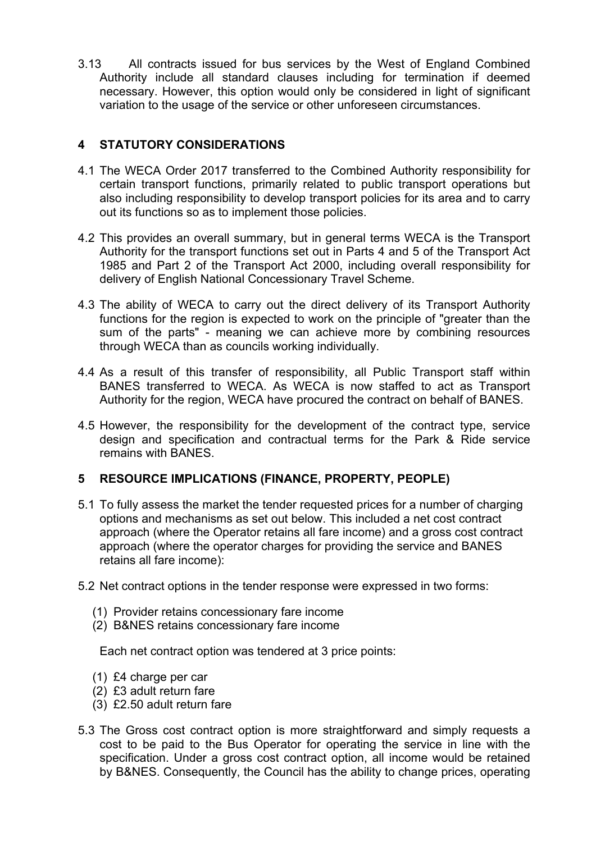3.13 All contracts issued for bus services by the West of England Combined Authority include all standard clauses including for termination if deemed necessary. However, this option would only be considered in light of significant variation to the usage of the service or other unforeseen circumstances.

## **4 STATUTORY CONSIDERATIONS**

- 4.1 The WECA Order 2017 transferred to the Combined Authority responsibility for certain transport functions, primarily related to public transport operations but also including responsibility to develop transport policies for its area and to carry out its functions so as to implement those policies.
- 4.2 This provides an overall summary, but in general terms WECA is the Transport Authority for the transport functions set out in Parts 4 and 5 of the Transport Act 1985 and Part 2 of the Transport Act 2000, including overall responsibility for delivery of English National Concessionary Travel Scheme.
- 4.3 The ability of WECA to carry out the direct delivery of its Transport Authority functions for the region is expected to work on the principle of "greater than the sum of the parts" - meaning we can achieve more by combining resources through WECA than as councils working individually.
- 4.4 As a result of this transfer of responsibility, all Public Transport staff within BANES transferred to WECA. As WECA is now staffed to act as Transport Authority for the region, WECA have procured the contract on behalf of BANES.
- 4.5 However, the responsibility for the development of the contract type, service design and specification and contractual terms for the Park & Ride service remains with BANES.

### **5 RESOURCE IMPLICATIONS (FINANCE, PROPERTY, PEOPLE)**

- 5.1 To fully assess the market the tender requested prices for a number of charging options and mechanisms as set out below. This included a net cost contract approach (where the Operator retains all fare income) and a gross cost contract approach (where the operator charges for providing the service and BANES retains all fare income):
- 5.2 Net contract options in the tender response were expressed in two forms:
	- (1) Provider retains concessionary fare income
	- (2) B&NES retains concessionary fare income

Each net contract option was tendered at 3 price points:

- (1) £4 charge per car
- (2) £3 adult return fare
- (3) £2.50 adult return fare
- 5.3 The Gross cost contract option is more straightforward and simply requests a cost to be paid to the Bus Operator for operating the service in line with the specification. Under a gross cost contract option, all income would be retained by B&NES. Consequently, the Council has the ability to change prices, operating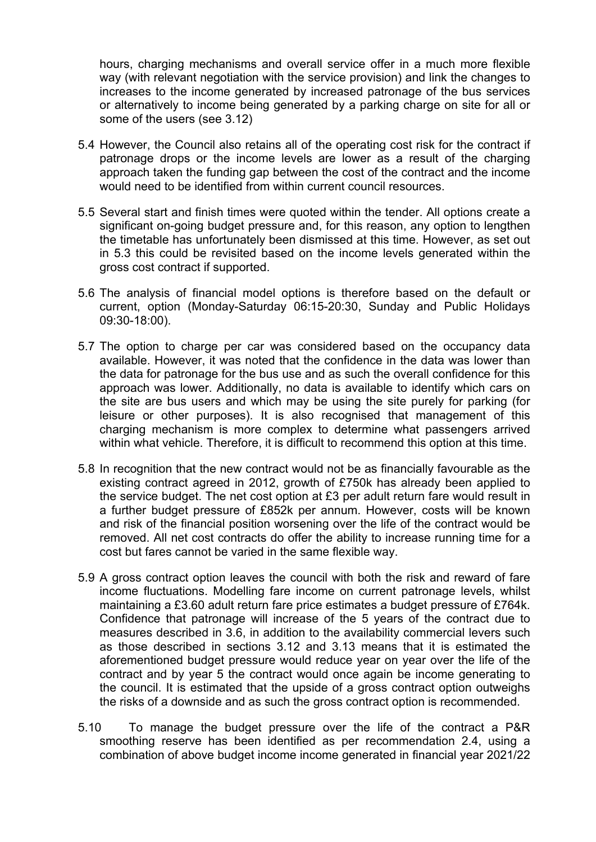hours, charging mechanisms and overall service offer in a much more flexible way (with relevant negotiation with the service provision) and link the changes to increases to the income generated by increased patronage of the bus services or alternatively to income being generated by a parking charge on site for all or some of the users (see 3.12)

- 5.4 However, the Council also retains all of the operating cost risk for the contract if patronage drops or the income levels are lower as a result of the charging approach taken the funding gap between the cost of the contract and the income would need to be identified from within current council resources.
- 5.5 Several start and finish times were quoted within the tender. All options create a significant on-going budget pressure and, for this reason, any option to lengthen the timetable has unfortunately been dismissed at this time. However, as set out in 5.3 this could be revisited based on the income levels generated within the gross cost contract if supported.
- 5.6 The analysis of financial model options is therefore based on the default or current, option (Monday-Saturday 06:15-20:30, Sunday and Public Holidays 09:30-18:00).
- 5.7 The option to charge per car was considered based on the occupancy data available. However, it was noted that the confidence in the data was lower than the data for patronage for the bus use and as such the overall confidence for this approach was lower. Additionally, no data is available to identify which cars on the site are bus users and which may be using the site purely for parking (for leisure or other purposes). It is also recognised that management of this charging mechanism is more complex to determine what passengers arrived within what vehicle. Therefore, it is difficult to recommend this option at this time.
- 5.8 In recognition that the new contract would not be as financially favourable as the existing contract agreed in 2012, growth of £750k has already been applied to the service budget. The net cost option at £3 per adult return fare would result in a further budget pressure of £852k per annum. However, costs will be known and risk of the financial position worsening over the life of the contract would be removed. All net cost contracts do offer the ability to increase running time for a cost but fares cannot be varied in the same flexible way.
- 5.9 A gross contract option leaves the council with both the risk and reward of fare income fluctuations. Modelling fare income on current patronage levels, whilst maintaining a £3.60 adult return fare price estimates a budget pressure of £764k. Confidence that patronage will increase of the 5 years of the contract due to measures described in 3.6, in addition to the availability commercial levers such as those described in sections 3.12 and 3.13 means that it is estimated the aforementioned budget pressure would reduce year on year over the life of the contract and by year 5 the contract would once again be income generating to the council. It is estimated that the upside of a gross contract option outweighs the risks of a downside and as such the gross contract option is recommended.
- 5.10 To manage the budget pressure over the life of the contract a P&R smoothing reserve has been identified as per recommendation 2.4, using a combination of above budget income income generated in financial year 2021/22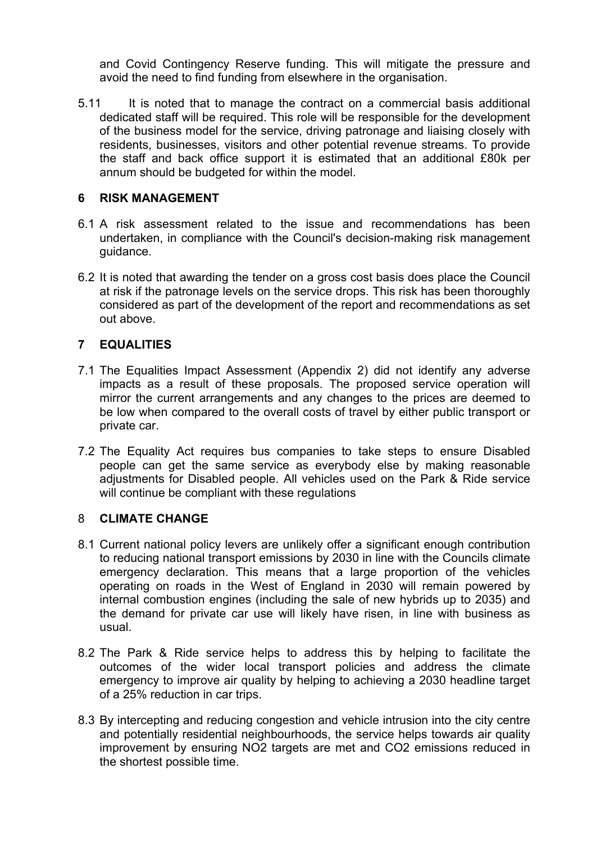and Covid Contingency Reserve funding. This will mitigate the pressure and avoid the need to find funding from elsewhere in the organisation.

5.11 It is noted that to manage the contract on a commercial basis additional dedicated staff will be required. This role will be responsible for the development of the business model for the service, driving patronage and liaising closely with residents, businesses, visitors and other potential revenue streams. To provide the staff and back office support it is estimated that an additional £80k per annum should be budgeted for within the model.

#### **6 RISK MANAGEMENT**

- 6.1 A risk assessment related to the issue and recommendations has been undertaken, in compliance with the Council's decision-making risk management guidance.
- 6.2 It is noted that awarding the tender on a gross cost basis does place the Council at risk if the patronage levels on the service drops. This risk has been thoroughly considered as part of the development of the report and recommendations as set out above.

# **7 EQUALITIES**

- 7.1 The Equalities Impact Assessment (Appendix 2) did not identify any adverse impacts as a result of these proposals. The proposed service operation will mirror the current arrangements and any changes to the prices are deemed to be low when compared to the overall costs of travel by either public transport or private car.
- 7.2 The Equality Act requires bus companies to take steps to ensure Disabled people can get the same service as everybody else by making reasonable adjustments for Disabled people. All vehicles used on the Park & Ride service will continue be compliant with these regulations

#### 8 **CLIMATE CHANGE**

- 8.1 Current national policy levers are unlikely offer a significant enough contribution to reducing national transport emissions by 2030 in line with the Councils climate emergency declaration. This means that a large proportion of the vehicles operating on roads in the West of England in 2030 will remain powered by internal combustion engines (including the sale of new hybrids up to 2035) and the demand for private car use will likely have risen, in line with business as usual.
- 8.2 The Park & Ride service helps to address this by helping to facilitate the outcomes of the wider local transport policies and address the climate emergency to improve air quality by helping to achieving a 2030 headline target of a 25% reduction in car trips.
- 8.3 By intercepting and reducing congestion and vehicle intrusion into the city centre and potentially residential neighbourhoods, the service helps towards air quality improvement by ensuring NO2 targets are met and CO2 emissions reduced in the shortest possible time.